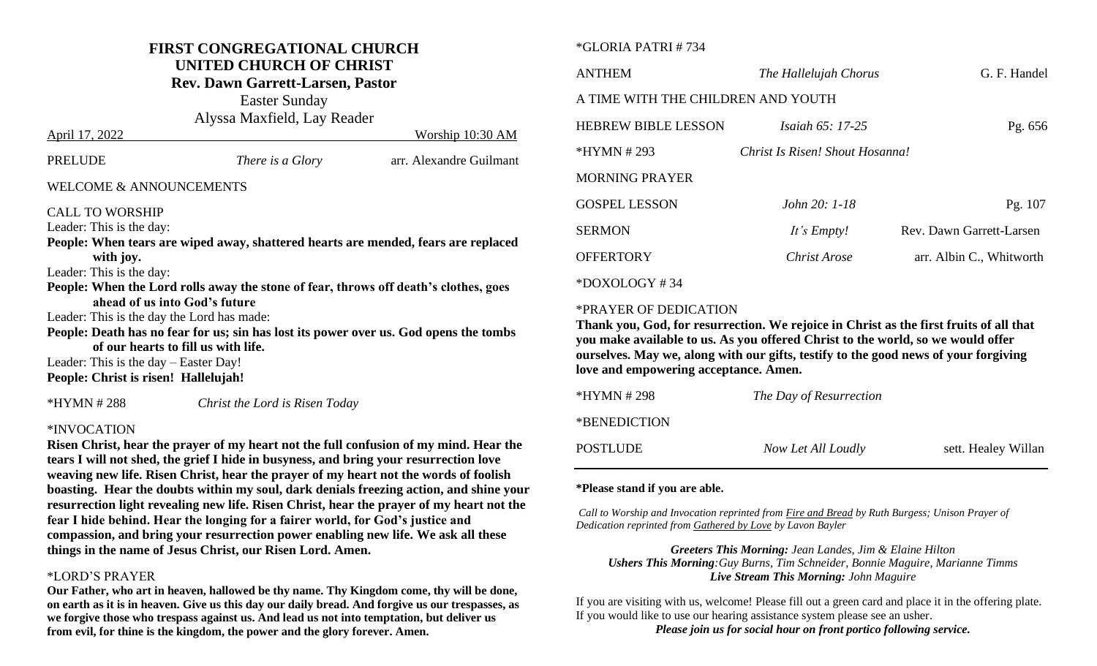## **FIRST CONGREGATIONAL CHURCH UNITED CHURCH OF CHRIST**

**Rev. Dawn Garrett-Larsen, Pastor**

Easter Sunday Alyssa Maxfield, Lay Reader April 17, 2022 Worship 10:30 AM

| <b>PRELUDE</b>                             | <i>There is a Glory</i>                                                              | arr. Alexandre Guilmant                                                               |
|--------------------------------------------|--------------------------------------------------------------------------------------|---------------------------------------------------------------------------------------|
| <b>WELCOME &amp; ANNOUNCEMENTS</b>         |                                                                                      |                                                                                       |
| <b>CALL TO WORSHIP</b>                     |                                                                                      |                                                                                       |
| Leader: This is the day:                   |                                                                                      |                                                                                       |
|                                            |                                                                                      | People: When tears are wiped away, shattered hearts are mended, fears are replaced    |
| with joy.                                  |                                                                                      |                                                                                       |
| Leader: This is the day:                   |                                                                                      |                                                                                       |
|                                            | People: When the Lord rolls away the stone of fear, throws off death's clothes, goes |                                                                                       |
| ahead of us into God's future              |                                                                                      |                                                                                       |
| Leader: This is the day the Lord has made: |                                                                                      |                                                                                       |
|                                            |                                                                                      | People: Death has no fear for us; sin has lost its power over us. God opens the tombs |
| of our hearts to fill us with life.        |                                                                                      |                                                                                       |
| Leader: This is the day $-$ Easter Day!    |                                                                                      |                                                                                       |
| People: Christ is risen! Hallelujah!       |                                                                                      |                                                                                       |
|                                            |                                                                                      |                                                                                       |

\*INVOCATION

**Risen Christ, hear the prayer of my heart not the full confusion of my mind. Hear the tears I will not shed, the grief I hide in busyness, and bring your resurrection love weaving new life. Risen Christ, hear the prayer of my heart not the words of foolish boasting. Hear the doubts within my soul, dark denials freezing action, and shine your resurrection light revealing new life. Risen Christ, hear the prayer of my heart not the fear I hide behind. Hear the longing for a fairer world, for God's justice and compassion, and bring your resurrection power enabling new life. We ask all these things in the name of Jesus Christ, our Risen Lord. Amen.**

\*HYMN # 288 *Christ the Lord is Risen Today*

#### \*LORD'S PRAYER

**Our Father, who art in heaven, hallowed be thy name. Thy Kingdom come, thy will be done, on earth as it is in heaven. Give us this day our daily bread. And forgive us our trespasses, as we forgive those who trespass against us. And lead us not into temptation, but deliver us from evil, for thine is the kingdom, the power and the glory forever. Amen.**

#### \*GLORIA PATRI # 734

| <b>ANTHEM</b>                      | The Hallelujah Chorus           | G. F. Handel             |
|------------------------------------|---------------------------------|--------------------------|
| A TIME WITH THE CHILDREN AND YOUTH |                                 |                          |
| <b>HEBREW BIBLE LESSON</b>         | <i>Isaiah</i> $65: 17-25$       | Pg. 656                  |
| $*HYMN # 293$                      | Christ Is Risen! Shout Hosanna! |                          |
| <b>MORNING PRAYER</b>              |                                 |                          |
| <b>GOSPEL LESSON</b>               | John 20: 1-18                   | Pg. 107                  |
| <b>SERMON</b>                      | It's Empty!                     | Rev. Dawn Garrett-Larsen |
| <b>OFFERTORY</b>                   | Christ Arose                    | arr. Albin C., Whitworth |
| $*$ DOXOLOGY #34                   |                                 |                          |

#### \*PRAYER OF DEDICATION

**Thank you, God, for resurrection. We rejoice in Christ as the first fruits of all that you make available to us. As you offered Christ to the world, so we would offer ourselves. May we, along with our gifts, testify to the good news of your forgiving love and empowering acceptance. Amen.** 

| *HYMN # 298  | The Day of Resurrection |                     |
|--------------|-------------------------|---------------------|
| *BENEDICTION |                         |                     |
| POSTLUDE     | Now Let All Loudly      | sett. Healey Willan |

#### **\*Please stand if you are able.**

*Call to Worship and Invocation reprinted from Fire and Bread by Ruth Burgess; Unison Prayer of Dedication reprinted from Gathered by Love by Lavon Bayler*

*Greeters This Morning: Jean Landes, Jim & Elaine Hilton Ushers This Morning:Guy Burns, Tim Schneider, Bonnie Maguire, Marianne Timms Live Stream This Morning: John Maguire*

If you are visiting with us, welcome! Please fill out a green card and place it in the offering plate. If you would like to use our hearing assistance system please see an usher.

*Please join us for social hour on front portico following service.*